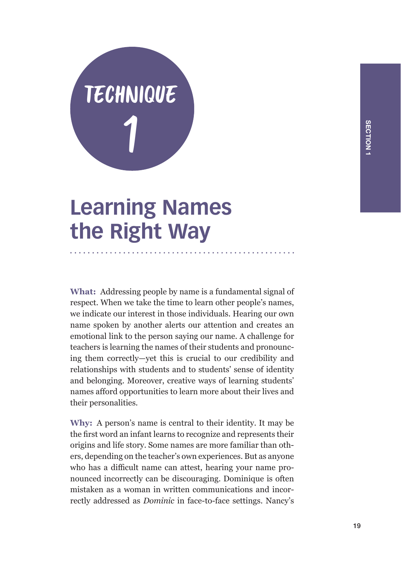

## **Learning Names the Right Way**

**What:** Addressing people by name is a fundamental signal of respect. When we take the time to learn other people's names, we indicate our interest in those individuals. Hearing our own name spoken by another alerts our attention and creates an emotional link to the person saying our name. A challenge for teachers is learning the names of their students and pronouncing them correctly—yet this is crucial to our credibility and relationships with students and to students' sense of identity and belonging. Moreover, creative ways of learning students' names afford opportunities to learn more about their lives and their personalities.

**Why:** A person's name is central to their identity. It may be the first word an infant learns to recognize and represents their origins and life story. Some names are more familiar than others, depending on the teacher's own experiences. But as anyone who has a difficult name can attest, hearing your name pronounced incorrectly can be discouraging. Dominique is often mistaken as a woman in written communications and incorrectly addressed as *Dominic* in face-to-face settings. Nancy's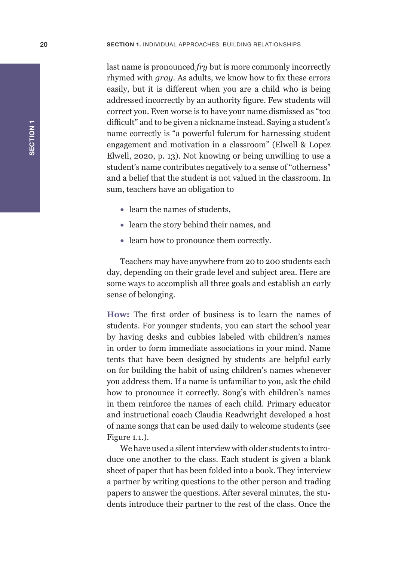last name is pronounced *fry* but is more commonly incorrectly rhymed with *gray*. As adults, we know how to fix these errors easily, but it is different when you are a child who is being addressed incorrectly by an authority figure. Few students will correct you. Even worse is to have your name dismissed as "too difficult" and to be given a nickname instead. Saying a student's name correctly is "a powerful fulcrum for harnessing student engagement and motivation in a classroom" (Elwell & Lopez Elwell, 2020, p. 13). Not knowing or being unwilling to use a student's name contributes negatively to a sense of "otherness" and a belief that the student is not valued in the classroom. In sum, teachers have an obligation to

- learn the names of students,
- learn the story behind their names, and
- learn how to pronounce them correctly.

Teachers may have anywhere from 20 to 200 students each day, depending on their grade level and subject area. Here are some ways to accomplish all three goals and establish an early sense of belonging.

**How:** The first order of business is to learn the names of students. For younger students, you can start the school year by having desks and cubbies labeled with children's names in order to form immediate associations in your mind. Name tents that have been designed by students are helpful early on for building the habit of using children's names whenever you address them. If a name is unfamiliar to you, ask the child how to pronounce it correctly. Song's with children's names in them reinforce the names of each child. Primary educator and instructional coach Claudia Readwright developed a host of name songs that can be used daily to welcome students (see Figure 1.1.).

We have used a silent interview with older students to introduce one another to the class. Each student is given a blank sheet of paper that has been folded into a book. They interview a partner by writing questions to the other person and trading papers to answer the questions. After several minutes, the students introduce their partner to the rest of the class. Once the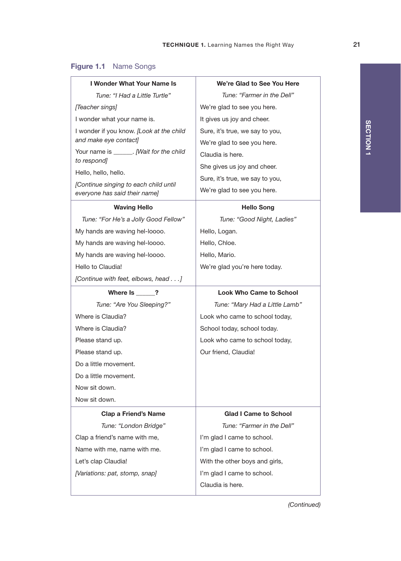| <b>I Wonder What Your Name Is</b>                                      | We're Glad to See You Here      |
|------------------------------------------------------------------------|---------------------------------|
| Tune: "I Had a Little Turtle"                                          | Tune: "Farmer in the Dell"      |
| [Teacher sings]                                                        | We're glad to see you here.     |
| I wonder what your name is.                                            | It gives us joy and cheer.      |
| I wonder if you know. [Look at the child                               | Sure, it's true, we say to you, |
| and make eye contact]                                                  | We're glad to see you here.     |
| Your name is _______. [Wait for the child                              | Claudia is here.                |
| to respond]                                                            | She gives us joy and cheer.     |
| Hello, hello, hello.                                                   | Sure, it's true, we say to you, |
| [Continue singing to each child until<br>everyone has said their name] | We're glad to see you here.     |
| <b>Waving Hello</b>                                                    | <b>Hello Song</b>               |
| Tune: "For He's a Jolly Good Fellow"                                   | Tune: "Good Night, Ladies"      |
| My hands are waving hel-loooo.                                         | Hello, Logan.                   |
| My hands are waving hel-loooo.                                         | Hello, Chloe.                   |
| My hands are waving hel-loooo.                                         | Hello, Mario.                   |
| Hello to Claudia!                                                      | We're glad you're here today.   |
| [Continue with feet, elbows, head]                                     |                                 |
| Where Is ?                                                             | <b>Look Who Came to School</b>  |
| Tune: "Are You Sleeping?"                                              | Tune: "Mary Had a Little Lamb"  |
| Where is Claudia?                                                      | Look who came to school today,  |
| Where is Claudia?                                                      | School today, school today.     |
| Please stand up.                                                       | Look who came to school today,  |
| Please stand up.                                                       | Our friend, Claudia!            |
| Do a little movement.                                                  |                                 |
| Do a little movement.                                                  |                                 |
| Now sit down.                                                          |                                 |
| Now sit down.                                                          |                                 |
| <b>Clap a Friend's Name</b>                                            | Glad I Came to School           |
| Tune: "London Bridge"                                                  | Tune: "Farmer in the Dell"      |
| Clap a friend's name with me,                                          | I'm glad I came to school.      |
| Name with me, name with me.                                            | I'm glad I came to school.      |
| Let's clap Claudia!                                                    | With the other boys and girls,  |
| [Variations: pat, stomp, snap]                                         | I'm glad I came to school.      |
|                                                                        | Claudia is here.                |

## Figure 1.1 Name Songs

*(Continued)*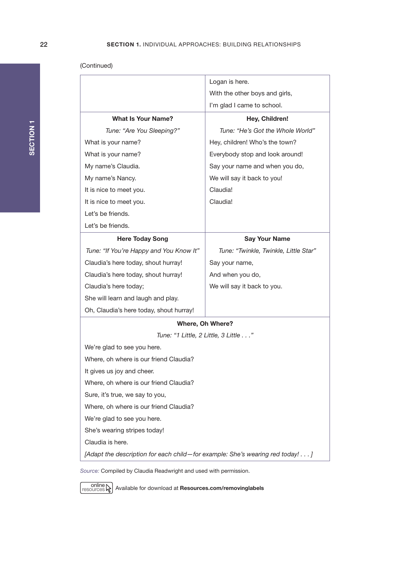(Continued)

|                                                                               | Logan is here.                        |
|-------------------------------------------------------------------------------|---------------------------------------|
|                                                                               | With the other boys and girls,        |
|                                                                               | I'm glad I came to school.            |
| <b>What Is Your Name?</b>                                                     | Hey, Children!                        |
| Tune: "Are You Sleeping?"                                                     | Tune: "He's Got the Whole World"      |
| What is your name?                                                            | Hey, children! Who's the town?        |
| What is your name?                                                            | Everybody stop and look around!       |
| My name's Claudia.                                                            | Say your name and when you do,        |
| My name's Nancy.                                                              | We will say it back to you!           |
| It is nice to meet you.                                                       | Claudia!                              |
| It is nice to meet you.                                                       | Claudia!                              |
| Let's be friends.                                                             |                                       |
| Let's be friends.                                                             |                                       |
| <b>Here Today Song</b>                                                        | <b>Say Your Name</b>                  |
| Tune: "If You're Happy and You Know It"                                       | Tune: "Twinkle, Twinkle, Little Star" |
| Claudia's here today, shout hurray!                                           | Say your name,                        |
| Claudia's here today, shout hurray!                                           | And when you do,                      |
| Claudia's here today;                                                         | We will say it back to you.           |
| She will learn and laugh and play.                                            |                                       |
| Oh, Claudia's here today, shout hurray!                                       |                                       |
| Where, Oh Where?                                                              |                                       |
| Tune: "1 Little, 2 Little, 3 Little"                                          |                                       |
| We're glad to see you here.                                                   |                                       |
| Where, oh where is our friend Claudia?                                        |                                       |
| It gives us joy and cheer.                                                    |                                       |
| Where, oh where is our friend Claudia?                                        |                                       |
| Sure, it's true, we say to you,                                               |                                       |
| Where, oh where is our friend Claudia?                                        |                                       |
| We're glad to see you here.                                                   |                                       |
| She's wearing stripes today!                                                  |                                       |
| Claudia is here.                                                              |                                       |
| [Adapt the description for each child-for example: She's wearing red today! ] |                                       |
|                                                                               |                                       |

*Source:* Compiled by Claudia Readwright and used with permission.

online **AV** Available for download at **Resources.com/removinglabels**